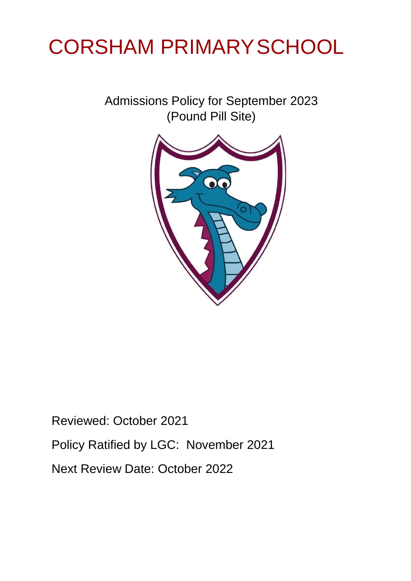# CORSHAM PRIMARYSCHOOL

Admissions Policy for September 2023 (Pound Pill Site)



Reviewed: October 2021 Policy Ratified by LGC: November 2021 Next Review Date: October 2022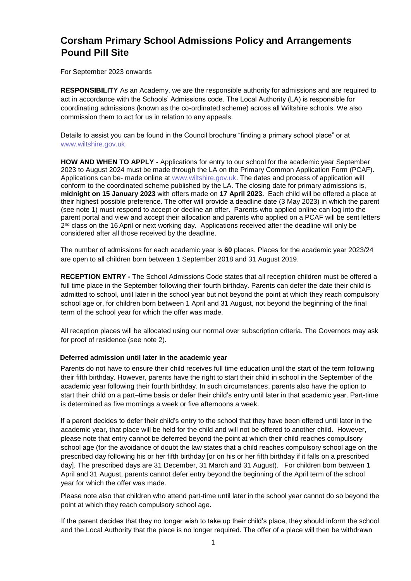# **Corsham Primary School Admissions Policy and Arrangements Pound Pill Site**

For September 2023 onwards

**RESPONSIBILITY** As an Academy, we are the responsible authority for admissions and are required to act in accordance with the Schools' Admissions code. The Local Authority (LA) is responsible for coordinating admissions (known as the co-ordinated scheme) across all Wiltshire schools. We also commission them to act for us in relation to any appeals.

Details to assist you can be found in the Council brochure "finding a primary school place" or at [www.wiltshire.gov.uk](http://www.wiltshire.gov.uk/) 

**HOW AND WHEN TO APPLY** - Applications for entry to our school for the academic year September 2023 to August 2024 must be made through the LA on the Primary Common Application Form (PCAF). Applications can be- made online at [www.wiltshire.gov.uk.](http://www.wiltshire.gov.uk/) [Th](http://www.wiltshire.gov.uk/)e dates and process of application will conform to the coordinated scheme published by the LA. The closing date for primary admissions is, **midnight on 15 January 2023** with offers made on **17 April 2023.** Each child will be offered a place at their highest possible preference. The offer will provide a deadline date (3 May 2023) in which the parent (see note 1) must respond to accept or decline an offer. Parents who applied online can log into the parent portal and view and accept their allocation and parents who applied on a PCAF will be sent letters 2<sup>nd</sup> class on the 16 April or next working day. Applications received after the deadline will only be considered after all those received by the deadline.

The number of admissions for each academic year is **60** places. Places for the academic year 2023/24 are open to all children born between 1 September 2018 and 31 August 2019.

**RECEPTION ENTRY -** The School Admissions Code states that all reception children must be offered a full time place in the September following their fourth birthday. Parents can defer the date their child is admitted to school, until later in the school year but not beyond the point at which they reach compulsory school age or, for children born between 1 April and 31 August, not beyond the beginning of the final term of the school year for which the offer was made.

All reception places will be allocated using our normal over subscription criteria. The Governors may ask for proof of residence (see note 2).

# **Deferred admission until later in the academic year**

Parents do not have to ensure their child receives full time education until the start of the term following their fifth birthday. However, parents have the right to start their child in school in the September of the academic year following their fourth birthday. In such circumstances, parents also have the option to start their child on a part–time basis or defer their child's entry until later in that academic year. Part-time is determined as five mornings a week or five afternoons a week.

If a parent decides to defer their child's entry to the school that they have been offered until later in the academic year, that place will be held for the child and will not be offered to another child. However, please note that entry cannot be deferred beyond the point at which their child reaches compulsory school age (for the avoidance of doubt the law states that a child reaches compulsory school age on the prescribed day following his or her fifth birthday [or on his or her fifth birthday if it falls on a prescribed day]. The prescribed days are 31 December, 31 March and 31 August). For children born between 1 April and 31 August, parents cannot defer entry beyond the beginning of the April term of the school year for which the offer was made.

Please note also that children who attend part-time until later in the school year cannot do so beyond the point at which they reach compulsory school age.

If the parent decides that they no longer wish to take up their child's place, they should inform the school and the Local Authority that the place is no longer required. The offer of a place will then be withdrawn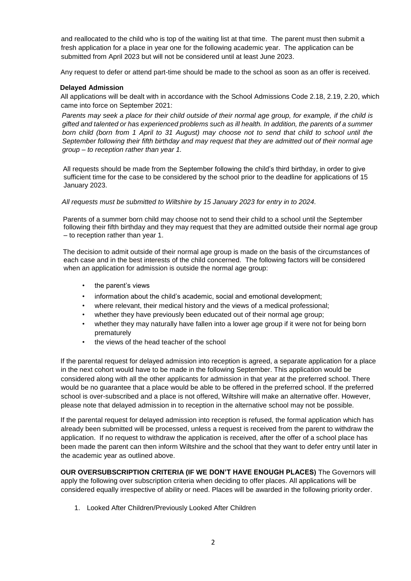and reallocated to the child who is top of the waiting list at that time. The parent must then submit a fresh application for a place in year one for the following academic year. The application can be submitted from April 2023 but will not be considered until at least June 2023.

Any request to defer or attend part-time should be made to the school as soon as an offer is received.

#### **Delayed Admission**

All applications will be dealt with in accordance with the School Admissions Code 2.18, 2.19, 2.20, which came into force on September 2021:

*Parents may seek a place for their child outside of their normal age group, for example, if the child is gifted and talented or has experienced problems such as ill health. In addition, the parents of a summer born child (born from 1 April to 31 August) may choose not to send that child to school until the September following their fifth birthday and may request that they are admitted out of their normal age group – to reception rather than year 1.* 

All requests should be made from the September following the child's third birthday, in order to give sufficient time for the case to be considered by the school prior to the deadline for applications of 15 January 2023.

#### *All requests must be submitted to Wiltshire by 15 January 2023 for entry in to 2024.*

Parents of a summer born child may choose not to send their child to a school until the September following their fifth birthday and they may request that they are admitted outside their normal age group – to reception rather than year 1.

The decision to admit outside of their normal age group is made on the basis of the circumstances of each case and in the best interests of the child concerned. The following factors will be considered when an application for admission is outside the normal age group:

- the parent's views
- information about the child's academic, social and emotional development;
- where relevant, their medical history and the views of a medical professional;
- whether they have previously been educated out of their normal age group;
- whether they may naturally have fallen into a lower age group if it were not for being born prematurely
- the views of the head teacher of the school

If the parental request for delayed admission into reception is agreed, a separate application for a place in the next cohort would have to be made in the following September. This application would be considered along with all the other applicants for admission in that year at the preferred school. There would be no guarantee that a place would be able to be offered in the preferred school. If the preferred school is over-subscribed and a place is not offered, Wiltshire will make an alternative offer. However, please note that delayed admission in to reception in the alternative school may not be possible.

If the parental request for delayed admission into reception is refused, the formal application which has already been submitted will be processed, unless a request is received from the parent to withdraw the application. If no request to withdraw the application is received, after the offer of a school place has been made the parent can then inform Wiltshire and the school that they want to defer entry until later in the academic year as outlined above.

**OUR OVERSUBSCRIPTION CRITERIA (IF WE DON'T HAVE ENOUGH PLACES)** The Governors will apply the following over subscription criteria when deciding to offer places. All applications will be considered equally irrespective of ability or need. Places will be awarded in the following priority order.

1. Looked After Children/Previously Looked After Children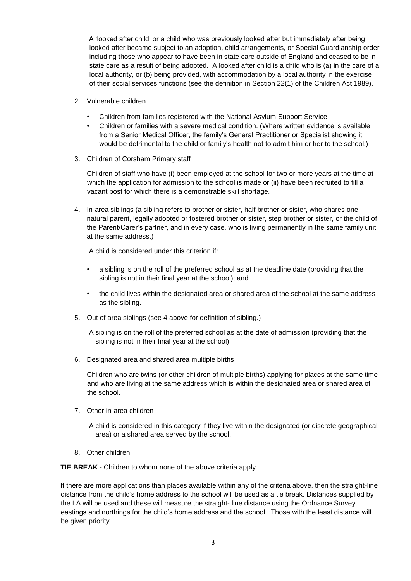A 'looked after child' or a child who was previously looked after but immediately after being looked after became subject to an adoption, child arrangements, or Special Guardianship order including those who appear to have been in state care outside of England and ceased to be in state care as a result of being adopted. A looked after child is a child who is (a) in the care of a local authority, or (b) being provided, with accommodation by a local authority in the exercise of their social services functions (see the definition in Section 22(1) of the Children Act 1989).

- 2. Vulnerable children
	- Children from families registered with the National Asylum Support Service.
	- Children or families with a severe medical condition. (Where written evidence is available from a Senior Medical Officer, the family's General Practitioner or Specialist showing it would be detrimental to the child or family's health not to admit him or her to the school.)
- 3. Children of Corsham Primary staff

Children of staff who have (i) been employed at the school for two or more years at the time at which the application for admission to the school is made or (ii) have been recruited to fill a vacant post for which there is a demonstrable skill shortage.

4. In-area siblings (a sibling refers to brother or sister, half brother or sister, who shares one natural parent, legally adopted or fostered brother or sister, step brother or sister, or the child of the Parent/Carer's partner, and in every case, who is living permanently in the same family unit at the same address.)

A child is considered under this criterion if:

- a sibling is on the roll of the preferred school as at the deadline date (providing that the sibling is not in their final year at the school); and
- the child lives within the designated area or shared area of the school at the same address as the sibling.
- 5. Out of area siblings (see 4 above for definition of sibling.)

A sibling is on the roll of the preferred school as at the date of admission (providing that the sibling is not in their final year at the school).

6. Designated area and shared area multiple births

Children who are twins (or other children of multiple births) applying for places at the same time and who are living at the same address which is within the designated area or shared area of the school.

7. Other in-area children

A child is considered in this category if they live within the designated (or discrete geographical area) or a shared area served by the school.

8. Other children

**TIE BREAK -** Children to whom none of the above criteria apply.

If there are more applications than places available within any of the criteria above, then the straight-line distance from the child's home address to the school will be used as a tie break. Distances supplied by the LA will be used and these will measure the straight- line distance using the Ordnance Survey eastings and northings for the child's home address and the school. Those with the least distance will be given priority.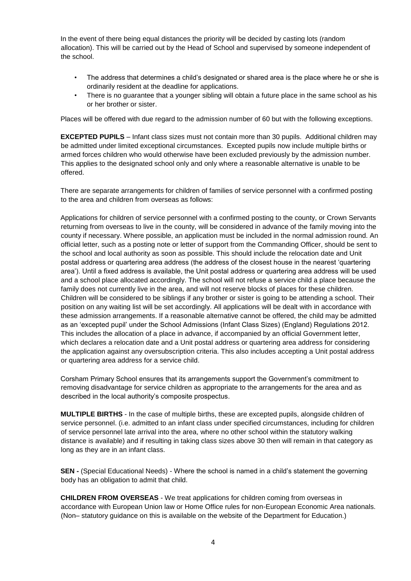In the event of there being equal distances the priority will be decided by casting lots (random allocation). This will be carried out by the Head of School and supervised by someone independent of the school.

- The address that determines a child's designated or shared area is the place where he or she is ordinarily resident at the deadline for applications.
- There is no guarantee that a younger sibling will obtain a future place in the same school as his or her brother or sister.

Places will be offered with due regard to the admission number of 60 but with the following exceptions.

**EXCEPTED PUPILS** – Infant class sizes must not contain more than 30 pupils. Additional children may be admitted under limited exceptional circumstances. Excepted pupils now include multiple births or armed forces children who would otherwise have been excluded previously by the admission number. This applies to the designated school only and only where a reasonable alternative is unable to be offered.

There are separate arrangements for children of families of service personnel with a confirmed posting to the area and children from overseas as follows:

Applications for children of service personnel with a confirmed posting to the county, or Crown Servants returning from overseas to live in the county, will be considered in advance of the family moving into the county if necessary. Where possible, an application must be included in the normal admission round. An official letter, such as a posting note or letter of support from the Commanding Officer, should be sent to the school and local authority as soon as possible. This should include the relocation date and Unit postal address or quartering area address (the address of the closest house in the nearest 'quartering area'). Until a fixed address is available, the Unit postal address or quartering area address will be used and a school place allocated accordingly. The school will not refuse a service child a place because the family does not currently live in the area, and will not reserve blocks of places for these children. Children will be considered to be siblings if any brother or sister is going to be attending a school. Their position on any waiting list will be set accordingly. All applications will be dealt with in accordance with these admission arrangements. If a reasonable alternative cannot be offered, the child may be admitted as an 'excepted pupil' under the School Admissions (Infant Class Sizes) (England) Regulations 2012. This includes the allocation of a place in advance, if accompanied by an official Government letter, which declares a relocation date and a Unit postal address or quartering area address for considering the application against any oversubscription criteria. This also includes accepting a Unit postal address or quartering area address for a service child.

Corsham Primary School ensures that its arrangements support the Government's commitment to removing disadvantage for service children as appropriate to the arrangements for the area and as described in the local authority's composite prospectus.

**MULTIPLE BIRTHS** - In the case of multiple births, these are excepted pupils, alongside children of service personnel. (i.e. admitted to an infant class under specified circumstances, including for children of service personnel late arrival into the area, where no other school within the statutory walking distance is available) and if resulting in taking class sizes above 30 then will remain in that category as long as they are in an infant class.

**SEN -** (Special Educational Needs) - Where the school is named in a child's statement the governing body has an obligation to admit that child.

**CHILDREN FROM OVERSEAS** - We treat applications for children coming from overseas in accordance with European Union law or Home Office rules for non-European Economic Area nationals. (Non– statutory guidance on this is available on the website of the Department for Education.)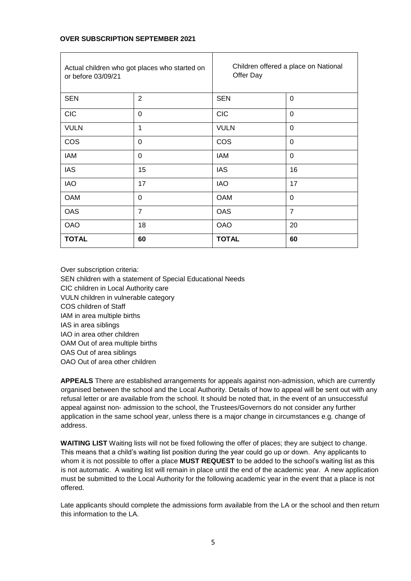# **OVER SUBSCRIPTION SEPTEMBER 2021**

| Actual children who got places who started on<br>or before 03/09/21 |                | Children offered a place on National<br>Offer Day |                |
|---------------------------------------------------------------------|----------------|---------------------------------------------------|----------------|
| <b>SEN</b>                                                          | $\overline{2}$ | <b>SEN</b>                                        | $\Omega$       |
| <b>CIC</b>                                                          | 0              | <b>CIC</b>                                        | $\Omega$       |
| <b>VULN</b>                                                         | 1              | <b>VULN</b>                                       | $\overline{0}$ |
| <b>COS</b>                                                          | 0              | <b>COS</b>                                        | 0              |
| <b>IAM</b>                                                          | 0              | IAM                                               | $\Omega$       |
| <b>IAS</b>                                                          | 15             | <b>IAS</b>                                        | 16             |
| <b>IAO</b>                                                          | 17             | <b>IAO</b>                                        | 17             |
| <b>OAM</b>                                                          | 0              | <b>OAM</b>                                        | 0              |
| <b>OAS</b>                                                          | $\overline{7}$ | <b>OAS</b>                                        | $\overline{7}$ |
| <b>OAO</b>                                                          | 18             | <b>OAO</b>                                        | 20             |
| <b>TOTAL</b>                                                        | 60             | <b>TOTAL</b>                                      | 60             |

Over subscription criteria: SEN children with a statement of Special Educational Needs CIC children in Local Authority care VULN children in vulnerable category COS children of Staff IAM in area multiple births IAS in area siblings IAO in area other children OAM Out of area multiple births OAS Out of area siblings OAO Out of area other children

**APPEALS** There are established arrangements for appeals against non-admission, which are currently organised between the school and the Local Authority. Details of how to appeal will be sent out with any refusal letter or are available from the school. It should be noted that, in the event of an unsuccessful appeal against non- admission to the school, the Trustees/Governors do not consider any further application in the same school year, unless there is a major change in circumstances e.g. change of address.

**WAITING LIST** Waiting lists will not be fixed following the offer of places; they are subject to change. This means that a child's waiting list position during the year could go up or down. Any applicants to whom it is not possible to offer a place **MUST REQUEST** to be added to the school's waiting list as this is not automatic. A waiting list will remain in place until the end of the academic year. A new application must be submitted to the Local Authority for the following academic year in the event that a place is not offered.

Late applicants should complete the admissions form available from the LA or the school and then return this information to the LA.